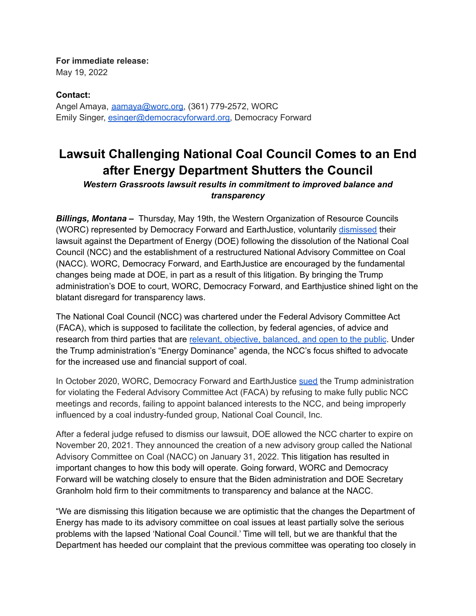**For immediate release:** May 19, 2022

**Contact:** Angel Amaya, [aamaya@worc.org,](mailto:aamaya@worc.org) (361) 779-2572, WORC Emily Singer, [esinger@democracyforward.org,](mailto:esinger@democracyforward.org) Democracy Forward

## **Lawsuit Challenging National Coal Council Comes to an End after Energy Department Shutters the Council**

*Western Grassroots lawsuit results in commitment to improved balance and transparency*

*Billings, Montana* **–** Thursday, May 19th, the Western Organization of Resource Councils (WORC) represented by Democracy Forward and EarthJustice, voluntarily [dismissed](https://democracyforward.org/wp-content/uploads/2022/05/NCC-Notice-of-Dismissal_5.19.pdf) their lawsuit against the Department of Energy (DOE) following the dissolution of the National Coal Council (NCC) and the establishment of a restructured National Advisory Committee on Coal (NACC). WORC, Democracy Forward, and EarthJustice are encouraged by the fundamental changes being made at DOE, in part as a result of this litigation. By bringing the Trump administration's DOE to court, WORC, Democracy Forward, and Earthjustice shined light on the blatant disregard for transparency laws.

The National Coal Council (NCC) was chartered under the Federal Advisory Committee Act (FACA), which is supposed to facilitate the collection, by federal agencies, of advice and research from third parties that are relevant, objective, [balanced,](https://www.gsa.gov/policy-regulations/policy/federal-advisory-committee-management/advice-and-guidance/the-federal-advisory-committee-act-faca-brochure) and open to the public. Under the Trump administration's "Energy Dominance" agenda, the NCC's focus shifted to advocate for the increased use and financial support of coal.

In October 2020, WORC, Democracy Forward and EarthJustice [sued](https://democracyforward.org/press/court-denies-attempt-to-dismiss-case-over-coal-council-that-refused-to-turn-over-trump-era-documents/) the Trump administration for violating the Federal Advisory Committee Act (FACA) by refusing to make fully public NCC meetings and records, failing to appoint balanced interests to the NCC, and being improperly influenced by a coal industry-funded group, National Coal Council, Inc.

After a federal judge refused to dismiss our lawsuit, DOE allowed the NCC charter to expire on November 20, 2021. They announced the creation of a new advisory group called the National Advisory Committee on Coal (NACC) on January 31, 2022. This litigation has resulted in important changes to how this body will operate. Going forward, WORC and Democracy Forward will be watching closely to ensure that the Biden administration and DOE Secretary Granholm hold firm to their commitments to transparency and balance at the NACC.

"We are dismissing this litigation because we are optimistic that the changes the Department of Energy has made to its advisory committee on coal issues at least partially solve the serious problems with the lapsed 'National Coal Council.' Time will tell, but we are thankful that the Department has heeded our complaint that the previous committee was operating too closely in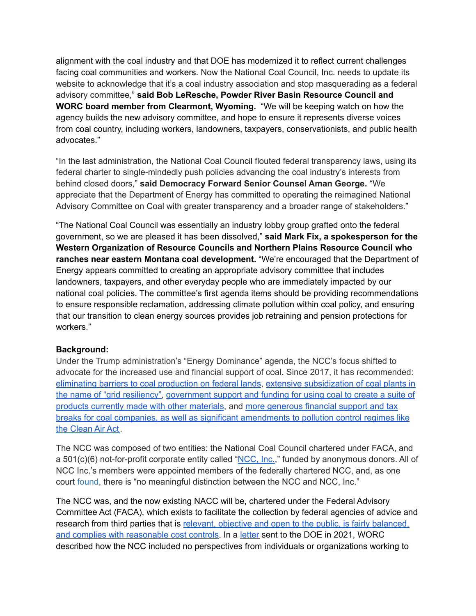alignment with the coal industry and that DOE has modernized it to reflect current challenges facing coal communities and workers. Now the National Coal Council, Inc. needs to update its website to acknowledge that it's a coal industry association and stop masquerading as a federal advisory committee," **said Bob LeResche, Powder River Basin Resource Council and WORC board member from Clearmont, Wyoming.** "We will be keeping watch on how the agency builds the new advisory committee, and hope to ensure it represents diverse voices from coal country, including workers, landowners, taxpayers, conservationists, and public health advocates."

"In the last administration, the National Coal Council flouted federal transparency laws, using its federal charter to single-mindedly push policies advancing the coal industry's interests from behind closed doors," **said Democracy Forward Senior Counsel Aman George.** "We appreciate that the Department of Energy has committed to operating the reimagined National Advisory Committee on Coal with greater transparency and a broader range of stakeholders."

"The National Coal Council was essentially an industry lobby group grafted onto the federal government, so we are pleased it has been dissolved," **said Mark Fix, a spokesperson for the Western Organization of Resource Councils and Northern Plains Resource Council who ranches near eastern Montana coal development.** "We're encouraged that the Department of Energy appears committed to creating an appropriate advisory committee that includes landowners, taxpayers, and other everyday people who are immediately impacted by our national coal policies. The committee's first agenda items should be providing recommendations to ensure responsible reclamation, addressing climate pollution within coal policy, and ensuring that our transition to clean energy sources provides job retraining and pension protections for workers."

## **Background:**

Under the Trump administration's "Energy Dominance" agenda, the NCC's focus shifted to advocate for the increased use and financial support of coal. Since 2017, it has recommended: [eliminating](https://www.nationalcoalcouncil.org/studies/2018/NCC-US-Coal-Exports-2018.pdf) barriers to coal production on federal lands, extensive [subsidization](https://www.nationalcoalcouncil.org/studies/2018/NCC-Power-Reset-2018.pdf) of coal plants in the name of "grid [resiliency",](https://www.nationalcoalcouncil.org/studies/2018/NCC-Power-Reset-2018.pdf) [government](https://www.nationalcoalcouncil.org/studies/2019/NCC-COAL-IN-A-NEW-CARBON-AGE.pdf) support and funding for using coal to create a suite of products currently made with other [materials](https://www.nationalcoalcouncil.org/studies/2019/NCC-COAL-IN-A-NEW-CARBON-AGE.pdf), and more [generous](https://www.nationalcoalcouncil.org/studies/2020/COAL-POWER-Cleaner-Stronger-Energy.pdf) financial support and tax breaks for coal companies, as well as significant [amendments](https://www.nationalcoalcouncil.org/studies/2020/COAL-POWER-Cleaner-Stronger-Energy.pdf) to pollution control regimes like the [Clean](https://www.nationalcoalcouncil.org/studies/2020/COAL-POWER-Cleaner-Stronger-Energy.pdf) Air Act.

The NCC was composed of two entities: the National Coal Council chartered under FACA, and a 501(c)(6) not-for-profit corporate entity called "[NCC,](https://www.nationalcoalcouncil.org/) Inc.," funded by anonymous donors. All of NCC Inc.'s members were appointed members of the federally chartered NCC, and, as one court [found,](https://casetext.com/case/niskanen-ctr-inc-v-us-dept-of-energy) there is "no meaningful distinction between the NCC and NCC, Inc."

The NCC was, and the now existing NACC will be, chartered under the Federal Advisory Committee Act (FACA), which exists to facilitate the collection by federal agencies of advice and research from third parties that is relevant, objective and open to the public, is fairly [balanced,](https://www.gsa.gov/policy-regulations/policy/federal-advisory-committee-management/advice-and-guidance/the-federal-advisory-committee-act-faca-brochure) and complies with [reasonable](https://www.gsa.gov/policy-regulations/policy/federal-advisory-committee-management/advice-and-guidance/the-federal-advisory-committee-act-faca-brochure) cost controls. In a [letter](https://www.worc.org/media/2021.09.08-National-Coal-Council-letter-to-DOE.docx.pdf) sent to the DOE in 2021, WORC described how the NCC included no perspectives from individuals or organizations working to